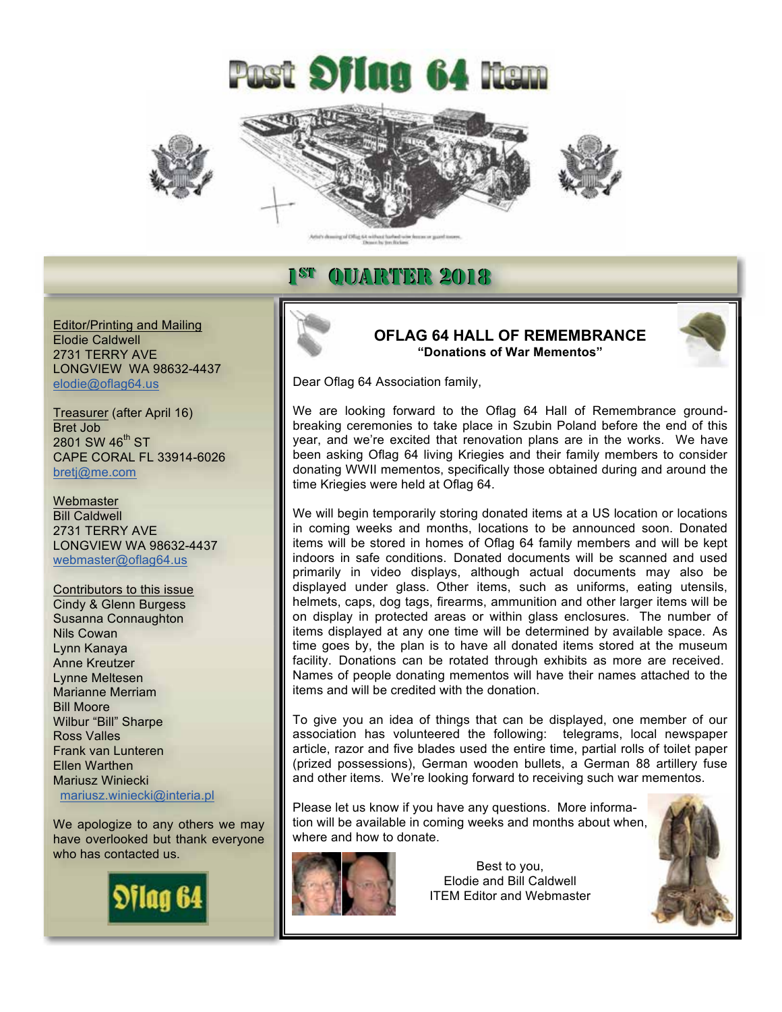



### 1st QUARTER 2018

Editor/Printing and Mailing Elodie Caldwell 2731 TERRY AVE LONGVIEW WA 98632-4437 elodie@oflag64.us

Treasurer (after April 16) Bret Job  $2801$  SW  $46^{\text{th}}$  ST CAPE CORAL FL 33914-6026 bretj@me.com

**Webmaster** Bill Caldwell 2731 TERRY AVE LONGVIEW WA 98632-4437 webmaster@oflag64.us

Contributors to this issue Cindy & Glenn Burgess Susanna Connaughton Nils Cowan Lynn Kanaya Anne Kreutzer Lynne Meltesen Marianne Merriam Bill Moore Wilbur "Bill" Sharpe Ross Valles Frank van Lunteren Ellen Warthen Mariusz Winiecki mariusz.winiecki@interia.pl

We apologize to any others we may have overlooked but thank everyone who has contacted us.



**OFLAG 64 HALL OF REMEMBRANCE "Donations of War Mementos"**

Dear Oflag 64 Association family,

We are looking forward to the Oflag 64 Hall of Remembrance groundbreaking ceremonies to take place in Szubin Poland before the end of this year, and we're excited that renovation plans are in the works. We have been asking Oflag 64 living Kriegies and their family members to consider donating WWII mementos, specifically those obtained during and around the time Kriegies were held at Oflag 64.

We will begin temporarily storing donated items at a US location or locations in coming weeks and months, locations to be announced soon. Donated items will be stored in homes of Oflag 64 family members and will be kept indoors in safe conditions. Donated documents will be scanned and used primarily in video displays, although actual documents may also be displayed under glass. Other items, such as uniforms, eating utensils, helmets, caps, dog tags, firearms, ammunition and other larger items will be on display in protected areas or within glass enclosures. The number of items displayed at any one time will be determined by available space. As time goes by, the plan is to have all donated items stored at the museum facility. Donations can be rotated through exhibits as more are received. Names of people donating mementos will have their names attached to the items and will be credited with the donation.

To give you an idea of things that can be displayed, one member of our association has volunteered the following: telegrams, local newspaper article, razor and five blades used the entire time, partial rolls of toilet paper (prized possessions), German wooden bullets, a German 88 artillery fuse and other items. We're looking forward to receiving such war mementos.

Please let us know if you have any questions. More information will be available in coming weeks and months about when, where and how to donate.



Ī

Best to you, Elodie and Bill Caldwell ITEM Editor and Webmaster

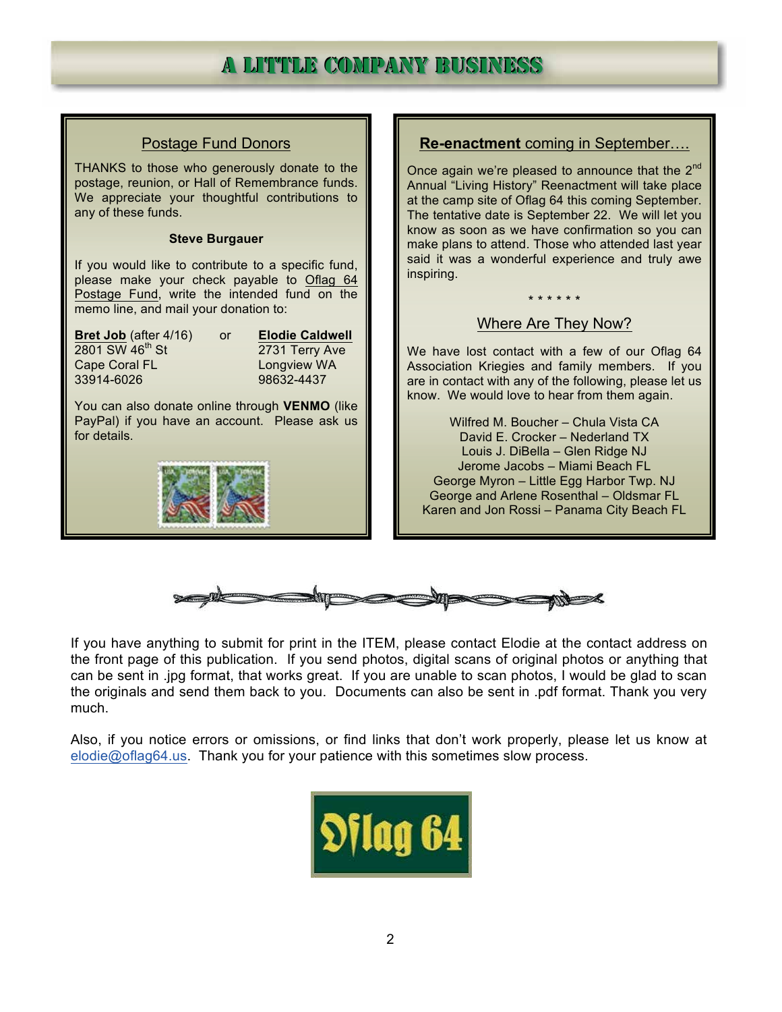## A LITTTLE COMPANY BUSINESS

| <b>Postage Fund Donors</b>                                                                                                                                                                                                  | <b>Re-enactment</b> coming in September                                                                                                                                                                                            |
|-----------------------------------------------------------------------------------------------------------------------------------------------------------------------------------------------------------------------------|------------------------------------------------------------------------------------------------------------------------------------------------------------------------------------------------------------------------------------|
| THANKS to those who generously donate to the<br>postage, reunion, or Hall of Remembrance funds.<br>We appreciate your thoughtful contributions to<br>any of these funds.                                                    | Once again we're pleased to announce that the 2 <sup>nd</sup><br>Annual "Living History" Reenactment will take place<br>at the camp site of Oflag 64 this coming September.<br>The tentative date is September 22. We will let you |
| <b>Steve Burgauer</b>                                                                                                                                                                                                       | know as soon as we have confirmation so you can<br>make plans to attend. Those who attended last year                                                                                                                              |
| If you would like to contribute to a specific fund,<br>please make your check payable to Oflag 64                                                                                                                           | said it was a wonderful experience and truly awe<br>inspiring.                                                                                                                                                                     |
| Postage Fund, write the intended fund on the<br>memo line, and mail your donation to:                                                                                                                                       | * * * * * *                                                                                                                                                                                                                        |
|                                                                                                                                                                                                                             | Where Are They Now?                                                                                                                                                                                                                |
| Bret Job (after 4/16)<br><b>Elodie Caldwell</b><br><b>or</b><br>2801 SW 46 <sup>th</sup> St<br>2731 Terry Ave<br>Cape Coral FL<br>Longview WA<br>33914-6026<br>98632-4437<br>You can also donate online through VENMO (like | We have lost contact with a few of our Oflag 64<br>Association Kriegies and family members. If you<br>are in contact with any of the following, please let us<br>know. We would love to hear from them again.                      |
| PayPal) if you have an account. Please ask us                                                                                                                                                                               | Wilfred M. Boucher - Chula Vista CA                                                                                                                                                                                                |
| for details.                                                                                                                                                                                                                | David E. Crocker - Nederland TX<br>Louis J. DiBella - Glen Ridge NJ                                                                                                                                                                |
|                                                                                                                                                                                                                             | Jerome Jacobs - Miami Beach FL                                                                                                                                                                                                     |
|                                                                                                                                                                                                                             | George Myron - Little Egg Harbor Twp. NJ                                                                                                                                                                                           |
|                                                                                                                                                                                                                             | George and Arlene Rosenthal - Oldsmar FL<br>Karen and Jon Rossi - Panama City Beach FL                                                                                                                                             |
|                                                                                                                                                                                                                             |                                                                                                                                                                                                                                    |



If you have anything to submit for print in the ITEM, please contact Elodie at the contact address on the front page of this publication. If you send photos, digital scans of original photos or anything that can be sent in .jpg format, that works great. If you are unable to scan photos, I would be glad to scan the originals and send them back to you. Documents can also be sent in .pdf format. Thank you very much.

Also, if you notice errors or omissions, or find links that don't work properly, please let us know at elodie@oflag64.us. Thank you for your patience with this sometimes slow process.

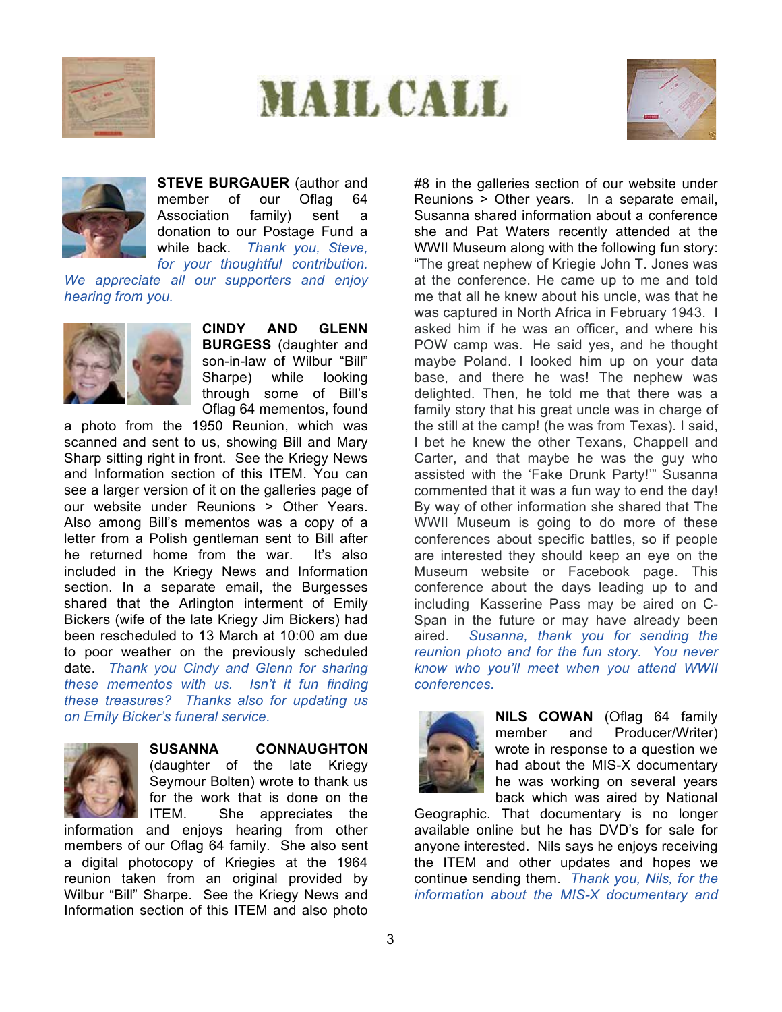







**STEVE BURGAUER** (author and member of our Oflag 64 Association family) sent a donation to our Postage Fund a while back. *Thank you, Steve, for your thoughtful contribution.* 

*We appreciate all our supporters and enjoy hearing from you.*



**CINDY AND GLENN BURGESS** (daughter and son-in-law of Wilbur "Bill" Sharpe) while looking through some of Bill's Oflag 64 mementos, found

a photo from the 1950 Reunion, which was scanned and sent to us, showing Bill and Mary Sharp sitting right in front. See the Kriegy News and Information section of this ITEM. You can see a larger version of it on the galleries page of our website under Reunions > Other Years. Also among Bill's mementos was a copy of a letter from a Polish gentleman sent to Bill after he returned home from the war. It's also included in the Kriegy News and Information section. In a separate email, the Burgesses shared that the Arlington interment of Emily Bickers (wife of the late Kriegy Jim Bickers) had been rescheduled to 13 March at 10:00 am due to poor weather on the previously scheduled date. *Thank you Cindy and Glenn for sharing these mementos with us. Isn't it fun finding these treasures? Thanks also for updating us on Emily Bicker's funeral service.*



### **SUSANNA CONNAUGHTON**

(daughter of the late Kriegy Seymour Bolten) wrote to thank us for the work that is done on the ITEM. She appreciates the

information and enjoys hearing from other members of our Oflag 64 family. She also sent a digital photocopy of Kriegies at the 1964 reunion taken from an original provided by Wilbur "Bill" Sharpe. See the Kriegy News and Information section of this ITEM and also photo

#8 in the galleries section of our website under Reunions > Other years. In a separate email, Susanna shared information about a conference she and Pat Waters recently attended at the WWII Museum along with the following fun story: "The great nephew of Kriegie John T. Jones was at the conference. He came up to me and told me that all he knew about his uncle, was that he was captured in North Africa in February 1943. I asked him if he was an officer, and where his POW camp was. He said yes, and he thought maybe Poland. I looked him up on your data base, and there he was! The nephew was delighted. Then, he told me that there was a family story that his great uncle was in charge of the still at the camp! (he was from Texas). I said, I bet he knew the other Texans, Chappell and Carter, and that maybe he was the guy who assisted with the 'Fake Drunk Party!'" Susanna commented that it was a fun way to end the day! By way of other information she shared that The WWII Museum is going to do more of these conferences about specific battles, so if people are interested they should keep an eye on the Museum website or Facebook page. This conference about the days leading up to and including Kasserine Pass may be aired on C-Span in the future or may have already been aired. *Susanna, thank you for sending the reunion photo and for the fun story. You never know who you'll meet when you attend WWII conferences.*



**NILS COWAN** (Oflag 64 family member and Producer/Writer) wrote in response to a question we had about the MIS-X documentary he was working on several years back which was aired by National

Geographic. That documentary is no longer available online but he has DVD's for sale for anyone interested. Nils says he enjoys receiving the ITEM and other updates and hopes we continue sending them. *Thank you, Nils, for the information about the MIS-X documentary and*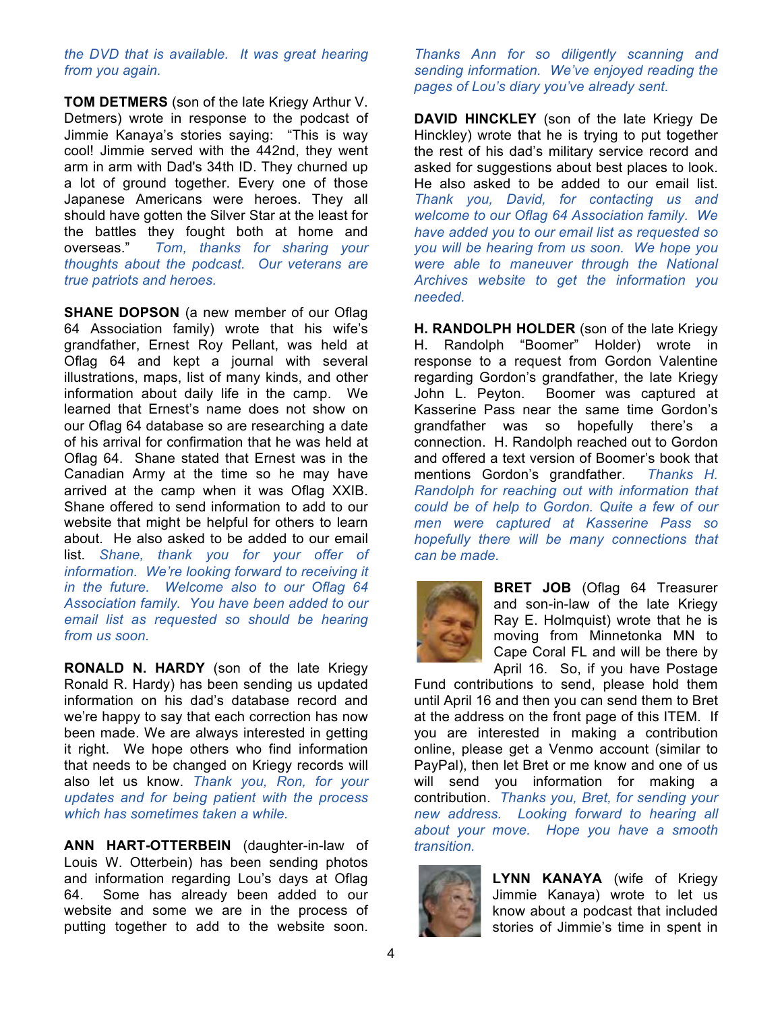*the DVD that is available. It was great hearing from you again.*

**TOM DETMERS** (son of the late Kriegy Arthur V. Detmers) wrote in response to the podcast of Jimmie Kanaya's stories saying: "This is way cool! Jimmie served with the 442nd, they went arm in arm with Dad's 34th ID. They churned up a lot of ground together. Every one of those Japanese Americans were heroes. They all should have gotten the Silver Star at the least for the battles they fought both at home and overseas." *Tom, thanks for sharing your thoughts about the podcast. Our veterans are true patriots and heroes.*

**SHANE DOPSON** (a new member of our Oflag 64 Association family) wrote that his wife's grandfather, Ernest Roy Pellant, was held at Oflag 64 and kept a journal with several illustrations, maps, list of many kinds, and other information about daily life in the camp. We learned that Ernest's name does not show on our Oflag 64 database so are researching a date of his arrival for confirmation that he was held at Oflag 64. Shane stated that Ernest was in the Canadian Army at the time so he may have arrived at the camp when it was Oflag XXIB. Shane offered to send information to add to our website that might be helpful for others to learn about. He also asked to be added to our email list. *Shane, thank you for your offer of information. We're looking forward to receiving it in the future. Welcome also to our Oflag 64 Association family. You have been added to our email list as requested so should be hearing from us soon.*

**RONALD N. HARDY** (son of the late Kriegy Ronald R. Hardy) has been sending us updated information on his dad's database record and we're happy to say that each correction has now been made. We are always interested in getting it right. We hope others who find information that needs to be changed on Kriegy records will also let us know. *Thank you, Ron, for your updates and for being patient with the process which has sometimes taken a while.* 

**ANN HART-OTTERBEIN** (daughter-in-law of Louis W. Otterbein) has been sending photos and information regarding Lou's days at Oflag 64. Some has already been added to our website and some we are in the process of putting together to add to the website soon.

*Thanks Ann for so diligently scanning and sending information. We've enjoyed reading the pages of Lou's diary you've already sent.*

**DAVID HINCKLEY** (son of the late Kriegy De Hinckley) wrote that he is trying to put together the rest of his dad's military service record and asked for suggestions about best places to look. He also asked to be added to our email list. *Thank you, David, for contacting us and welcome to our Oflag 64 Association family. We have added you to our email list as requested so you will be hearing from us soon. We hope you were able to maneuver through the National Archives website to get the information you needed.*

**H. RANDOLPH HOLDER** (son of the late Kriegy H. Randolph "Boomer" Holder) wrote in response to a request from Gordon Valentine regarding Gordon's grandfather, the late Kriegy John L. Peyton. Boomer was captured at Kasserine Pass near the same time Gordon's grandfather was so hopefully there's a connection. H. Randolph reached out to Gordon and offered a text version of Boomer's book that mentions Gordon's grandfather. *Thanks H. Randolph for reaching out with information that could be of help to Gordon. Quite a few of our men were captured at Kasserine Pass so hopefully there will be many connections that can be made.*



**BRET JOB** (Oflag 64 Treasurer and son-in-law of the late Kriegy Ray E. Holmquist) wrote that he is moving from Minnetonka MN to Cape Coral FL and will be there by April 16. So, if you have Postage

Fund contributions to send, please hold them until April 16 and then you can send them to Bret at the address on the front page of this ITEM. If you are interested in making a contribution online, please get a Venmo account (similar to PayPal), then let Bret or me know and one of us will send you information for making a contribution. *Thanks you, Bret, for sending your new address. Looking forward to hearing all about your move. Hope you have a smooth transition.*



**LYNN KANAYA** (wife of Kriegy Jimmie Kanaya) wrote to let us know about a podcast that included stories of Jimmie's time in spent in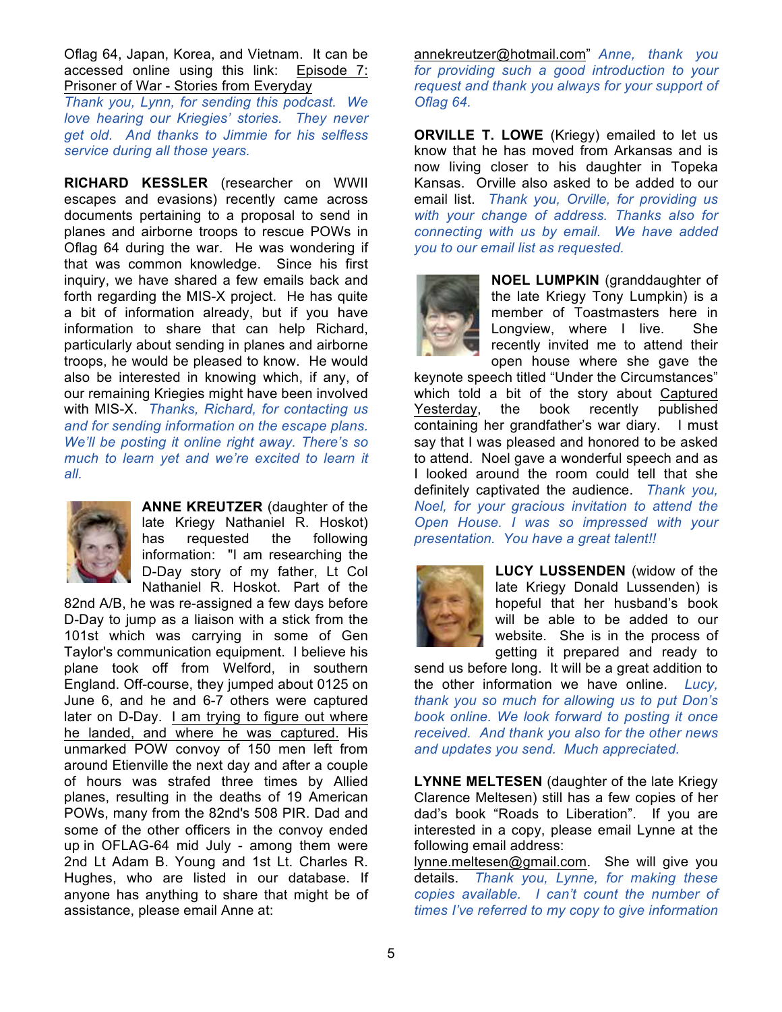Oflag 64, Japan, Korea, and Vietnam. It can be accessed online using this link: Episode 7: Prisoner of War - Stories from Everyday

*Thank you, Lynn, for sending this podcast. We love hearing our Kriegies' stories. They never get old. And thanks to Jimmie for his selfless service during all those years.*

**RICHARD KESSLER** (researcher on WWII escapes and evasions) recently came across documents pertaining to a proposal to send in planes and airborne troops to rescue POWs in Oflag 64 during the war. He was wondering if that was common knowledge. Since his first inquiry, we have shared a few emails back and forth regarding the MIS-X project. He has quite a bit of information already, but if you have information to share that can help Richard, particularly about sending in planes and airborne troops, he would be pleased to know. He would also be interested in knowing which, if any, of our remaining Kriegies might have been involved with MIS-X. *Thanks, Richard, for contacting us and for sending information on the escape plans. We'll be posting it online right away. There's so much to learn yet and we're excited to learn it all.*



**ANNE KREUTZER** (daughter of the late Kriegy Nathaniel R. Hoskot) has requested the following information: "I am researching the D-Day story of my father, Lt Col Nathaniel R. Hoskot. Part of the

82nd A/B, he was re-assigned a few days before D-Day to jump as a liaison with a stick from the 101st which was carrying in some of Gen Taylor's communication equipment. I believe his plane took off from Welford, in southern England. Off-course, they jumped about 0125 on June 6, and he and 6-7 others were captured later on D-Day. I am trying to figure out where he landed, and where he was captured. His unmarked POW convoy of 150 men left from around Etienville the next day and after a couple of hours was strafed three times by Allied planes, resulting in the deaths of 19 American POWs, many from the 82nd's 508 PIR. Dad and some of the other officers in the convoy ended up in OFLAG-64 mid July - among them were 2nd Lt Adam B. Young and 1st Lt. Charles R. Hughes, who are listed in our database. If anyone has anything to share that might be of assistance, please email Anne at:

annekreutzer@hotmail.com" *Anne, thank you for providing such a good introduction to your request and thank you always for your support of Oflag 64.*

**ORVILLE T. LOWE** (Kriegy) emailed to let us know that he has moved from Arkansas and is now living closer to his daughter in Topeka Kansas. Orville also asked to be added to our email list. *Thank you, Orville, for providing us with your change of address. Thanks also for connecting with us by email. We have added you to our email list as requested.*



**NOEL LUMPKIN** (granddaughter of the late Kriegy Tony Lumpkin) is a member of Toastmasters here in Longview, where I live. She recently invited me to attend their open house where she gave the

keynote speech titled "Under the Circumstances" which told a bit of the story about Captured Yesterday, the book recently published containing her grandfather's war diary. I must say that I was pleased and honored to be asked to attend. Noel gave a wonderful speech and as I looked around the room could tell that she definitely captivated the audience. *Thank you, Noel, for your gracious invitation to attend the Open House. I was so impressed with your presentation. You have a great talent!!*



**LUCY LUSSENDEN** (widow of the late Kriegy Donald Lussenden) is hopeful that her husband's book will be able to be added to our website. She is in the process of getting it prepared and ready to

send us before long. It will be a great addition to the other information we have online. *Lucy, thank you so much for allowing us to put Don's book online. We look forward to posting it once received. And thank you also for the other news and updates you send. Much appreciated.*

**LYNNE MELTESEN** (daughter of the late Kriegy Clarence Meltesen) still has a few copies of her dad's book "Roads to Liberation". If you are interested in a copy, please email Lynne at the following email address:

lynne.meltesen@gmail.com. She will give you details. *Thank you, Lynne, for making these copies available. I can't count the number of times I've referred to my copy to give information*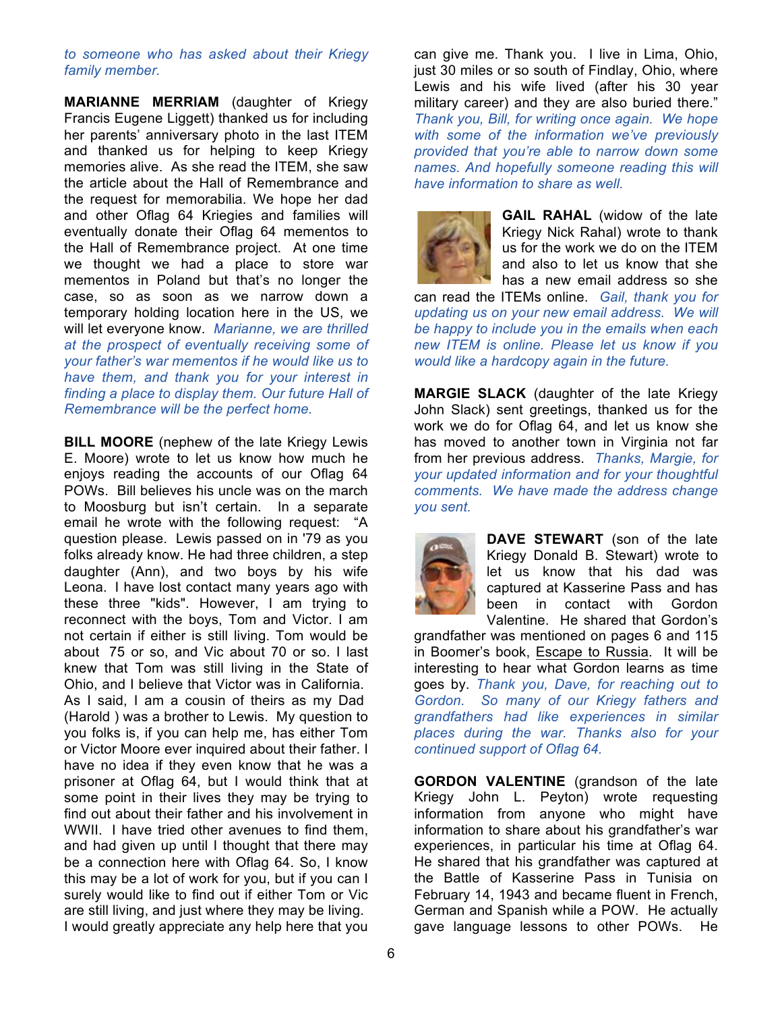### *to someone who has asked about their Kriegy family member.*

**MARIANNE MERRIAM** (daughter of Kriegy Francis Eugene Liggett) thanked us for including her parents' anniversary photo in the last ITEM and thanked us for helping to keep Kriegy memories alive. As she read the ITEM, she saw the article about the Hall of Remembrance and the request for memorabilia. We hope her dad and other Oflag 64 Kriegies and families will eventually donate their Oflag 64 mementos to the Hall of Remembrance project. At one time we thought we had a place to store war mementos in Poland but that's no longer the case, so as soon as we narrow down a temporary holding location here in the US, we will let everyone know. *Marianne, we are thrilled at the prospect of eventually receiving some of your father's war mementos if he would like us to have them, and thank you for your interest in finding a place to display them. Our future Hall of Remembrance will be the perfect home.* 

**BILL MOORE** (nephew of the late Kriegy Lewis E. Moore) wrote to let us know how much he enjoys reading the accounts of our Oflag 64 POWs. Bill believes his uncle was on the march to Moosburg but isn't certain. In a separate email he wrote with the following request: "A question please. Lewis passed on in '79 as you folks already know. He had three children, a step daughter (Ann), and two boys by his wife Leona. I have lost contact many years ago with these three "kids". However, I am trying to reconnect with the boys, Tom and Victor. I am not certain if either is still living. Tom would be about 75 or so, and Vic about 70 or so. I last knew that Tom was still living in the State of Ohio, and I believe that Victor was in California. As I said, I am a cousin of theirs as my Dad (Harold ) was a brother to Lewis. My question to you folks is, if you can help me, has either Tom or Victor Moore ever inquired about their father. I have no idea if they even know that he was a

prisoner at Oflag 64, but I would think that at some point in their lives they may be trying to find out about their father and his involvement in WWII. I have tried other avenues to find them, and had given up until I thought that there may be a connection here with Oflag 64. So, I know this may be a lot of work for you, but if you can I surely would like to find out if either Tom or Vic are still living, and just where they may be living. I would greatly appreciate any help here that you

can give me. Thank you. I live in Lima, Ohio, just 30 miles or so south of Findlay, Ohio, where Lewis and his wife lived (after his 30 year military career) and they are also buried there." *Thank you, Bill, for writing once again. We hope with some of the information we've previously provided that you're able to narrow down some names. And hopefully someone reading this will have information to share as well.* 



**GAIL RAHAL** (widow of the late Kriegy Nick Rahal) wrote to thank us for the work we do on the ITEM and also to let us know that she has a new email address so she

can read the ITEMs online. *Gail, thank you for updating us on your new email address. We will be happy to include you in the emails when each new ITEM is online. Please let us know if you would like a hardcopy again in the future.*

**MARGIE SLACK** (daughter of the late Kriegy John Slack) sent greetings, thanked us for the work we do for Oflag 64, and let us know she has moved to another town in Virginia not far from her previous address. *Thanks, Margie, for your updated information and for your thoughtful comments. We have made the address change you sent.*



**DAVE STEWART** (son of the late Kriegy Donald B. Stewart) wrote to let us know that his dad was captured at Kasserine Pass and has been in contact with Gordon Valentine. He shared that Gordon's

grandfather was mentioned on pages 6 and 115 in Boomer's book, Escape to Russia. It will be interesting to hear what Gordon learns as time goes by. *Thank you, Dave, for reaching out to Gordon. So many of our Kriegy fathers and grandfathers had like experiences in similar places during the war. Thanks also for your continued support of Oflag 64.* 

**GORDON VALENTINE** (grandson of the late Kriegy John L. Peyton) wrote requesting information from anyone who might have information to share about his grandfather's war experiences, in particular his time at Oflag 64. He shared that his grandfather was captured at the Battle of Kasserine Pass in Tunisia on February 14, 1943 and became fluent in French, German and Spanish while a POW. He actually gave language lessons to other POWs. He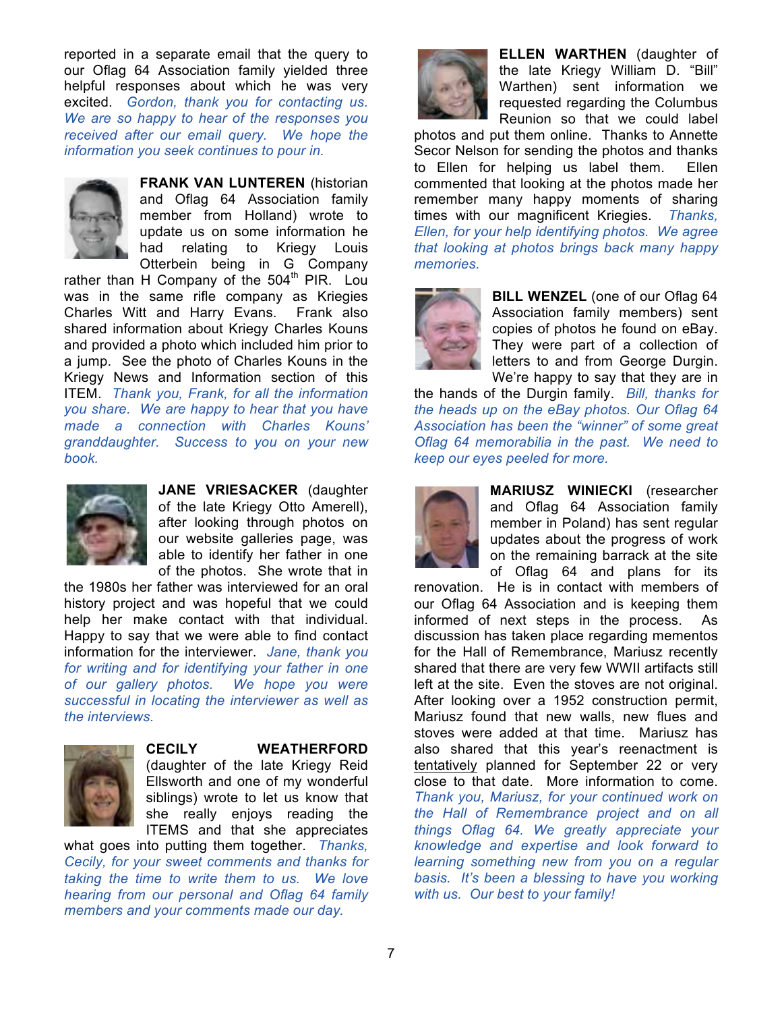reported in a separate email that the query to our Oflag 64 Association family yielded three helpful responses about which he was very excited. *Gordon, thank you for contacting us. We are so happy to hear of the responses you received after our email query. We hope the information you seek continues to pour in.*



**FRANK VAN LUNTEREN** (historian and Oflag 64 Association family member from Holland) wrote to update us on some information he had relating to Kriegy Louis Otterbein being in G Company

rather than H Company of the  $504<sup>th</sup>$  PIR. Lou was in the same rifle company as Kriegies Charles Witt and Harry Evans. Frank also shared information about Kriegy Charles Kouns and provided a photo which included him prior to a jump. See the photo of Charles Kouns in the Kriegy News and Information section of this ITEM. *Thank you, Frank, for all the information you share. We are happy to hear that you have made a connection with Charles Kouns' granddaughter. Success to you on your new book.*



**JANE VRIESACKER** (daughter of the late Kriegy Otto Amerell), after looking through photos on our website galleries page, was able to identify her father in one of the photos. She wrote that in

the 1980s her father was interviewed for an oral history project and was hopeful that we could help her make contact with that individual. Happy to say that we were able to find contact information for the interviewer. *Jane, thank you for writing and for identifying your father in one of our gallery photos. We hope you were successful in locating the interviewer as well as the interviews.*



#### **CECILY WEATHERFORD**

(daughter of the late Kriegy Reid Ellsworth and one of my wonderful siblings) wrote to let us know that she really enjoys reading the ITEMS and that she appreciates

what goes into putting them together. *Thanks, Cecily, for your sweet comments and thanks for taking the time to write them to us. We love hearing from our personal and Oflag 64 family members and your comments made our day.*



**ELLEN WARTHEN** (daughter of the late Kriegy William D. "Bill" Warthen) sent information we requested regarding the Columbus Reunion so that we could label

photos and put them online. Thanks to Annette Secor Nelson for sending the photos and thanks to Ellen for helping us label them. Ellen commented that looking at the photos made her remember many happy moments of sharing times with our magnificent Kriegies. *Thanks, Ellen, for your help identifying photos. We agree that looking at photos brings back many happy memories.*



**BILL WENZEL** (one of our Oflag 64 Association family members) sent copies of photos he found on eBay. They were part of a collection of letters to and from George Durgin. We're happy to say that they are in

the hands of the Durgin family. *Bill, thanks for the heads up on the eBay photos. Our Oflag 64 Association has been the "winner" of some great Oflag 64 memorabilia in the past. We need to keep our eyes peeled for more.*



**MARIUSZ WINIECKI** (researcher and Oflag 64 Association family member in Poland) has sent regular updates about the progress of work on the remaining barrack at the site of Oflag 64 and plans for its

renovation. He is in contact with members of our Oflag 64 Association and is keeping them informed of next steps in the process. As discussion has taken place regarding mementos for the Hall of Remembrance, Mariusz recently shared that there are very few WWII artifacts still left at the site. Even the stoves are not original. After looking over a 1952 construction permit, Mariusz found that new walls, new flues and stoves were added at that time. Mariusz has also shared that this year's reenactment is tentatively planned for September 22 or very close to that date. More information to come. *Thank you, Mariusz, for your continued work on the Hall of Remembrance project and on all things Oflag 64. We greatly appreciate your knowledge and expertise and look forward to learning something new from you on a regular basis. It's been a blessing to have you working with us. Our best to your family!*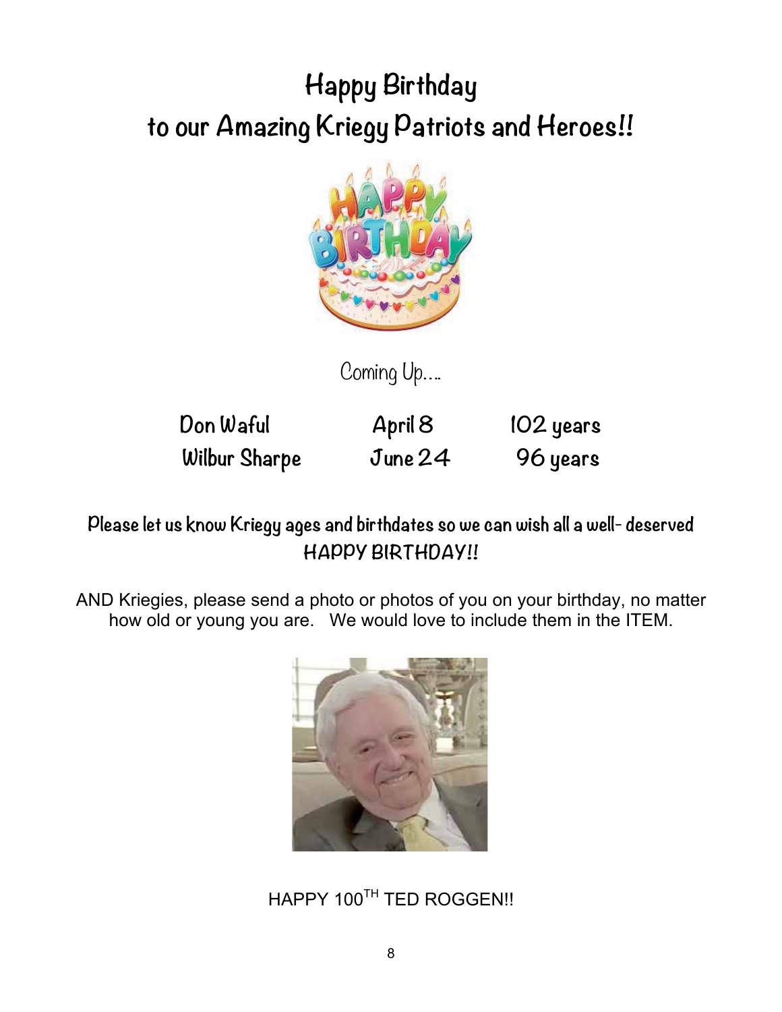# **Happy Birthday to our Amazing Kriegy Patriots and Heroes!!**



Coming Up….

**Don Waful April 8 102 years Wilbur Sharpe June 24 96 years**

**Please let us know Kriegy ages and birthdates so we can wish all a well- deserved HAPPY BIRTHDAY!!**

AND Kriegies, please send a photo or photos of you on your birthday, no matter how old or young you are. We would love to include them in the ITEM.



HAPPY 100TH TED ROGGEN!!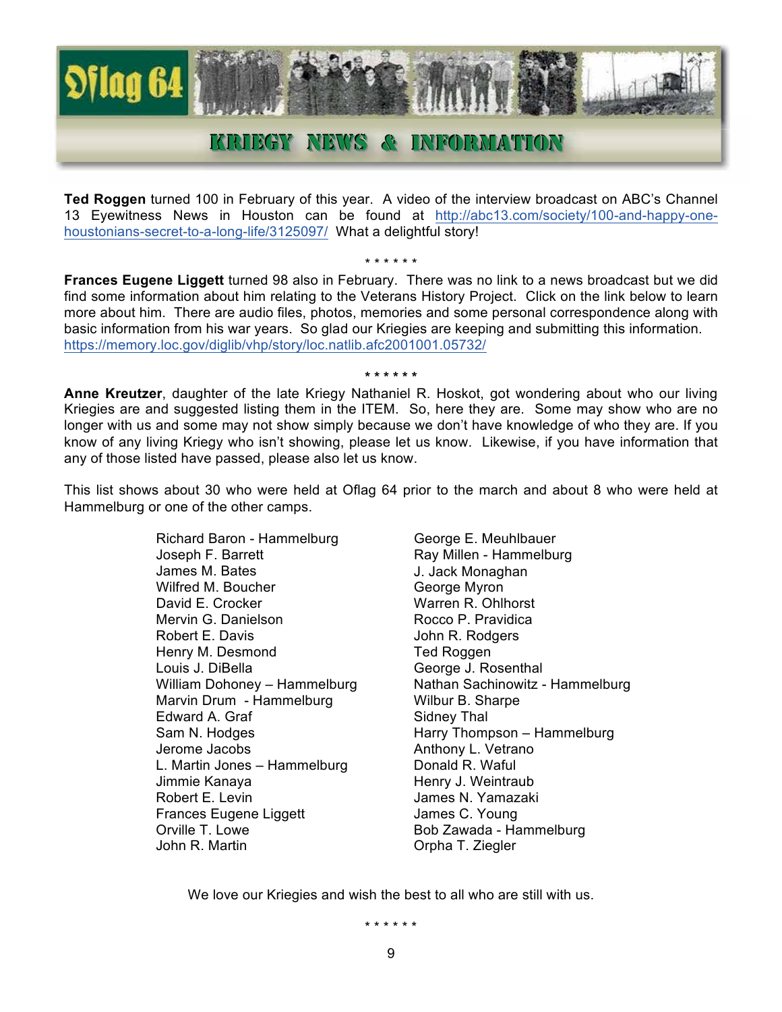

### KRIIEGY NEWS & INFORMATION

**Ted Roggen** turned 100 in February of this year. A video of the interview broadcast on ABC's Channel 13 Eyewitness News in Houston can be found at http://abc13.com/society/100-and-happy-onehoustonians-secret-to-a-long-life/3125097/ What a delightful story!

\* \* \* \* \* \* **Frances Eugene Liggett** turned 98 also in February. There was no link to a news broadcast but we did find some information about him relating to the Veterans History Project. Click on the link below to learn more about him. There are audio files, photos, memories and some personal correspondence along with basic information from his war years. So glad our Kriegies are keeping and submitting this information. https://memory.loc.gov/diglib/vhp/story/loc.natlib.afc2001001.05732/

**Anne Kreutzer**, daughter of the late Kriegy Nathaniel R. Hoskot, got wondering about who our living Kriegies are and suggested listing them in the ITEM. So, here they are. Some may show who are no longer with us and some may not show simply because we don't have knowledge of who they are. If you know of any living Kriegy who isn't showing, please let us know. Likewise, if you have information that any of those listed have passed, please also let us know.

**\* \* \* \* \* \***

This list shows about 30 who were held at Oflag 64 prior to the march and about 8 who were held at Hammelburg or one of the other camps.

> Richard Baron - Hammelburg Joseph F. Barrett James M. Bates Wilfred M. Boucher David E. Crocker Mervin G. Danielson Robert E. Davis Henry M. Desmond Louis J. DiBella William Dohoney – Hammelburg Marvin Drum - Hammelburg Edward A. Graf Sam N. Hodges Jerome Jacobs L. Martin Jones – Hammelburg Jimmie Kanaya Robert E. Levin Frances Eugene Liggett Orville T. Lowe John R. Martin

George E. Meuhlbauer Ray Millen - Hammelburg J. Jack Monaghan George Myron Warren R. Ohlhorst Rocco P. Pravidica John R. Rodgers Ted Roggen George J. Rosenthal Nathan Sachinowitz - Hammelburg Wilbur B. Sharpe Sidney Thal Harry Thompson – Hammelburg Anthony L. Vetrano Donald R. Waful Henry J. Weintraub James N. Yamazaki James C. Young Bob Zawada - Hammelburg Orpha T. Ziegler

We love our Kriegies and wish the best to all who are still with us.

\* \* \* \* \* \*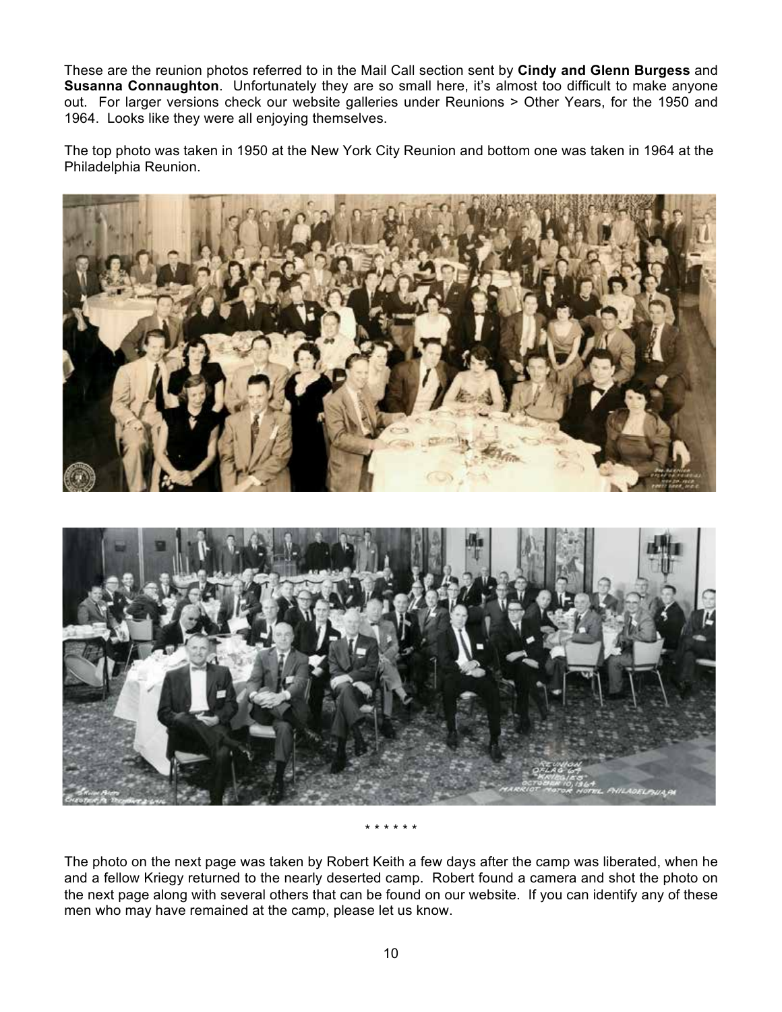These are the reunion photos referred to in the Mail Call section sent by **Cindy and Glenn Burgess** and **Susanna Connaughton**. Unfortunately they are so small here, it's almost too difficult to make anyone out. For larger versions check our website galleries under Reunions > Other Years, for the 1950 and 1964. Looks like they were all enjoying themselves.

The top photo was taken in 1950 at the New York City Reunion and bottom one was taken in 1964 at the Philadelphia Reunion.



\* \* \* \* \* \*

The photo on the next page was taken by Robert Keith a few days after the camp was liberated, when he and a fellow Kriegy returned to the nearly deserted camp. Robert found a camera and shot the photo on the next page along with several others that can be found on our website. If you can identify any of these men who may have remained at the camp, please let us know.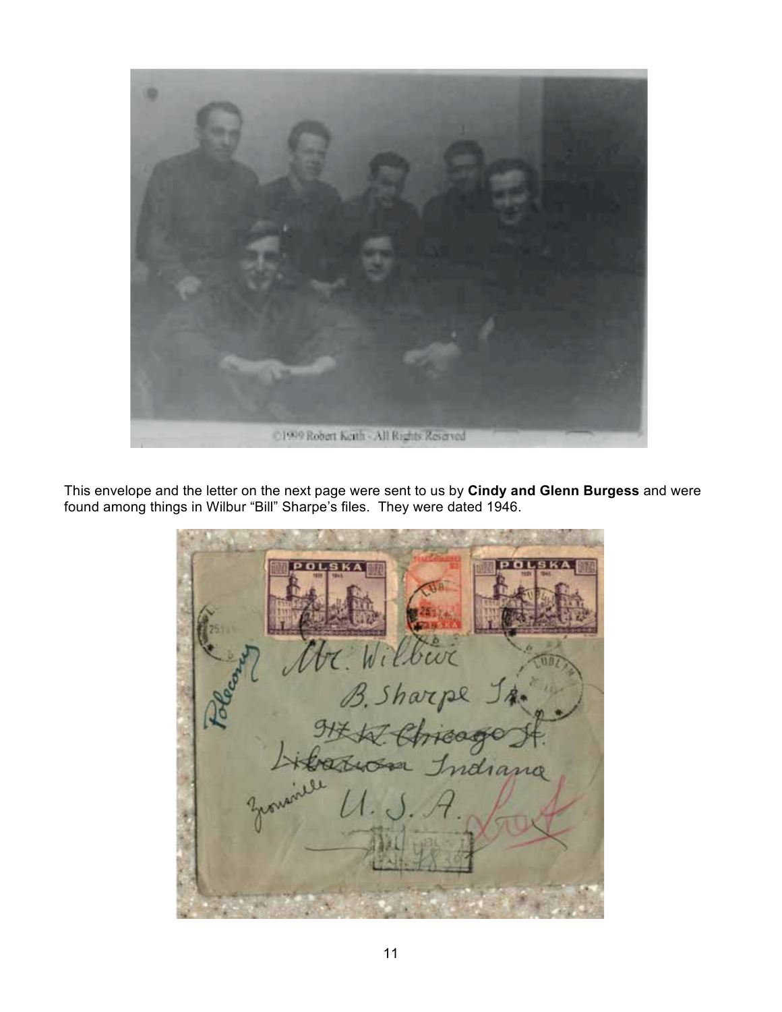

This envelope and the letter on the next page were sent to us by **Cindy and Glenn Burgess** and were found among things in Wilbur "Bill" Sharpe's files. They were dated 1946.

T. Wilbur<br>B. Sharpe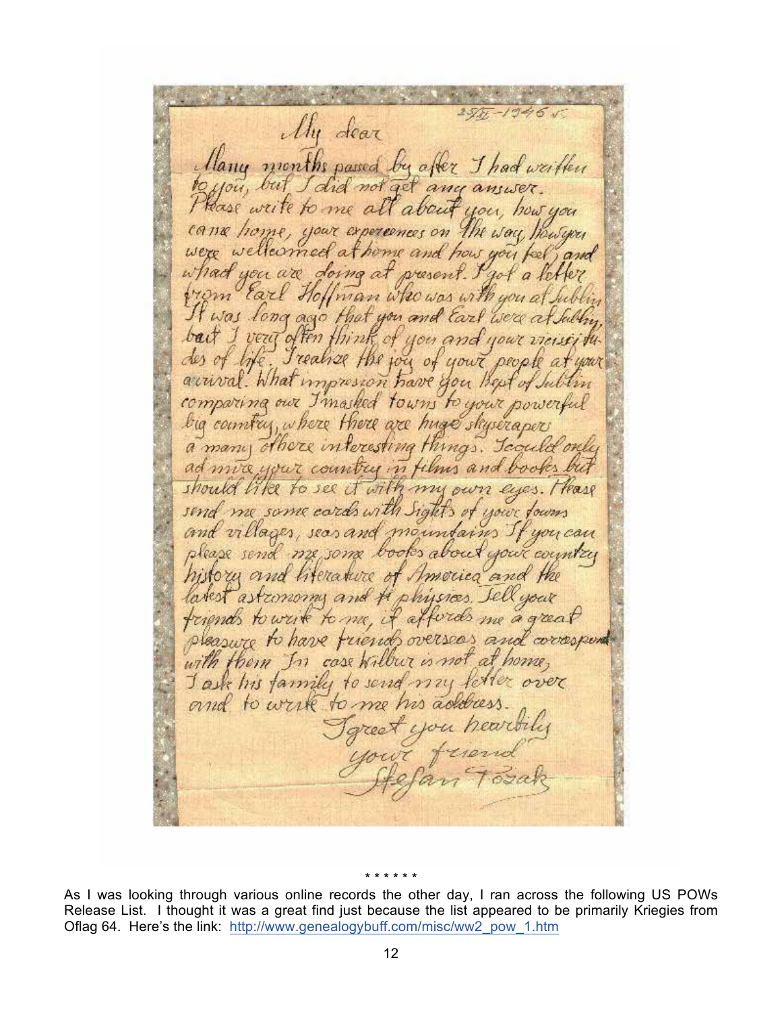My dear Hany months passed by after I had weither ou, but did not get any answer. ase write to me all about you, how you came home, your experiences on the way, however at home and how you feel, and wellearned what you are present. I got a letter doing at from Earl Hoffman who was with you It was long ago that you and Earl we'd bact I veut often think of and your Treative the joy of your people a des of life. arrival. What impression have you kept of comparing our I masked towns to your big country, where there are huge shyseraper a many others interesting things. Icould only ad more your country in films and books should like to see it with my own eyes Trease send me same cards with Sight's of your fours and villages, seas and mountains you can please send me some books about your country history and literature of Amorica and latest astronomy and H physics. Jell your triends to write to me, it affords me a great pleasure to have friends overseas and correspond with them In case will co not at home, Jask his farmily to send ferrer over and to write to me his address you heartily

\* \* \* \* \* \*

As I was looking through various online records the other day, I ran across the following US POWs Release List. I thought it was a great find just because the list appeared to be primarily Kriegies from Oflag 64. Here's the link: http://www.genealogybuff.com/misc/ww2\_pow\_1.htm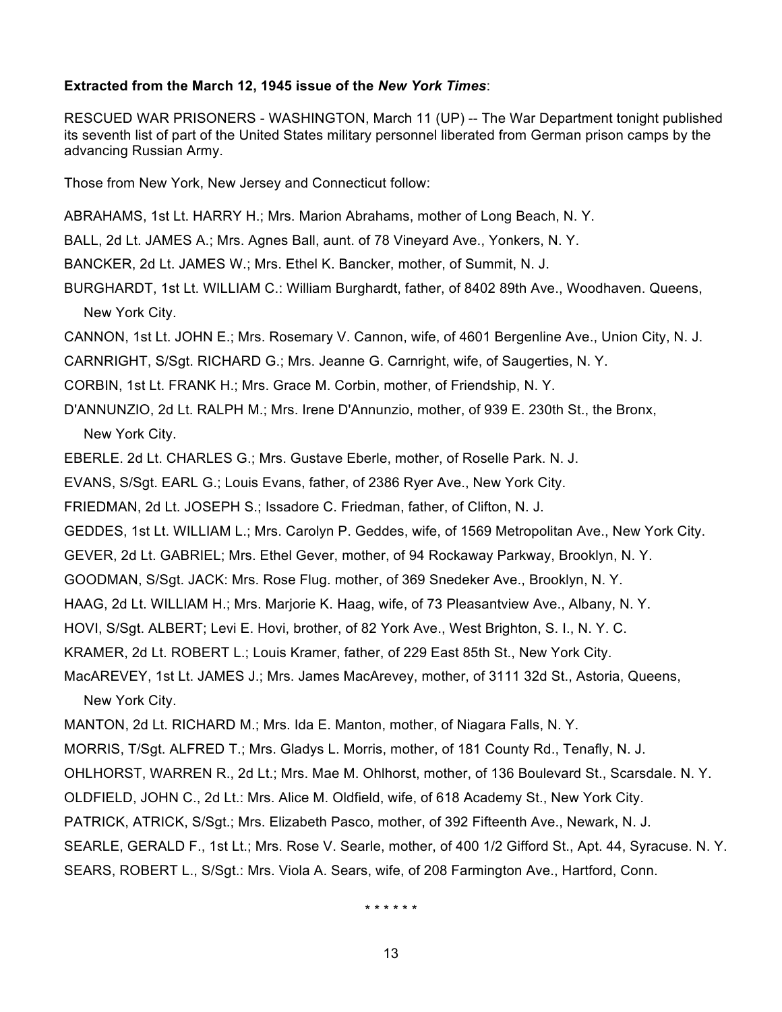### **Extracted from the March 12, 1945 issue of the** *New York Times*:

RESCUED WAR PRISONERS - WASHINGTON, March 11 (UP) -- The War Department tonight published its seventh list of part of the United States military personnel liberated from German prison camps by the advancing Russian Army.

Those from New York, New Jersey and Connecticut follow:

ABRAHAMS, 1st Lt. HARRY H.; Mrs. Marion Abrahams, mother of Long Beach, N. Y.

BALL, 2d Lt. JAMES A.; Mrs. Agnes Ball, aunt. of 78 Vineyard Ave., Yonkers, N. Y.

BANCKER, 2d Lt. JAMES W.; Mrs. Ethel K. Bancker, mother, of Summit, N. J.

BURGHARDT, 1st Lt. WILLIAM C.: William Burghardt, father, of 8402 89th Ave., Woodhaven. Queens, New York City.

CANNON, 1st Lt. JOHN E.; Mrs. Rosemary V. Cannon, wife, of 4601 Bergenline Ave., Union City, N. J.

CARNRIGHT, S/Sgt. RICHARD G.; Mrs. Jeanne G. Carnright, wife, of Saugerties, N. Y.

CORBIN, 1st Lt. FRANK H.; Mrs. Grace M. Corbin, mother, of Friendship, N. Y.

D'ANNUNZIO, 2d Lt. RALPH M.; Mrs. Irene D'Annunzio, mother, of 939 E. 230th St., the Bronx, New York City.

EBERLE. 2d Lt. CHARLES G.; Mrs. Gustave Eberle, mother, of Roselle Park. N. J.

EVANS, S/Sgt. EARL G.; Louis Evans, father, of 2386 Ryer Ave., New York City.

FRIEDMAN, 2d Lt. JOSEPH S.; Issadore C. Friedman, father, of Clifton, N. J.

GEDDES, 1st Lt. WILLIAM L.; Mrs. Carolyn P. Geddes, wife, of 1569 Metropolitan Ave., New York City.

GEVER, 2d Lt. GABRIEL; Mrs. Ethel Gever, mother, of 94 Rockaway Parkway, Brooklyn, N. Y.

GOODMAN, S/Sgt. JACK: Mrs. Rose Flug. mother, of 369 Snedeker Ave., Brooklyn, N. Y.

HAAG, 2d Lt. WILLIAM H.; Mrs. Marjorie K. Haag, wife, of 73 Pleasantview Ave., Albany, N. Y.

HOVI, S/Sgt. ALBERT; Levi E. Hovi, brother, of 82 York Ave., West Brighton, S. I., N. Y. C.

KRAMER, 2d Lt. ROBERT L.; Louis Kramer, father, of 229 East 85th St., New York City.

MacAREVEY, 1st Lt. JAMES J.; Mrs. James MacArevey, mother, of 3111 32d St., Astoria, Queens,

New York City.

MANTON, 2d Lt. RICHARD M.; Mrs. Ida E. Manton, mother, of Niagara Falls, N. Y.

MORRIS, T/Sgt. ALFRED T.; Mrs. Gladys L. Morris, mother, of 181 County Rd., Tenafly, N. J.

OHLHORST, WARREN R., 2d Lt.; Mrs. Mae M. Ohlhorst, mother, of 136 Boulevard St., Scarsdale. N. Y.

OLDFIELD, JOHN C., 2d Lt.: Mrs. Alice M. Oldfield, wife, of 618 Academy St., New York City.

PATRICK, ATRICK, S/Sgt.; Mrs. Elizabeth Pasco, mother, of 392 Fifteenth Ave., Newark, N. J.

SEARLE, GERALD F., 1st Lt.; Mrs. Rose V. Searle, mother, of 400 1/2 Gifford St., Apt. 44, Syracuse. N. Y. SEARS, ROBERT L., S/Sgt.: Mrs. Viola A. Sears, wife, of 208 Farmington Ave., Hartford, Conn.

\* \* \* \* \* \*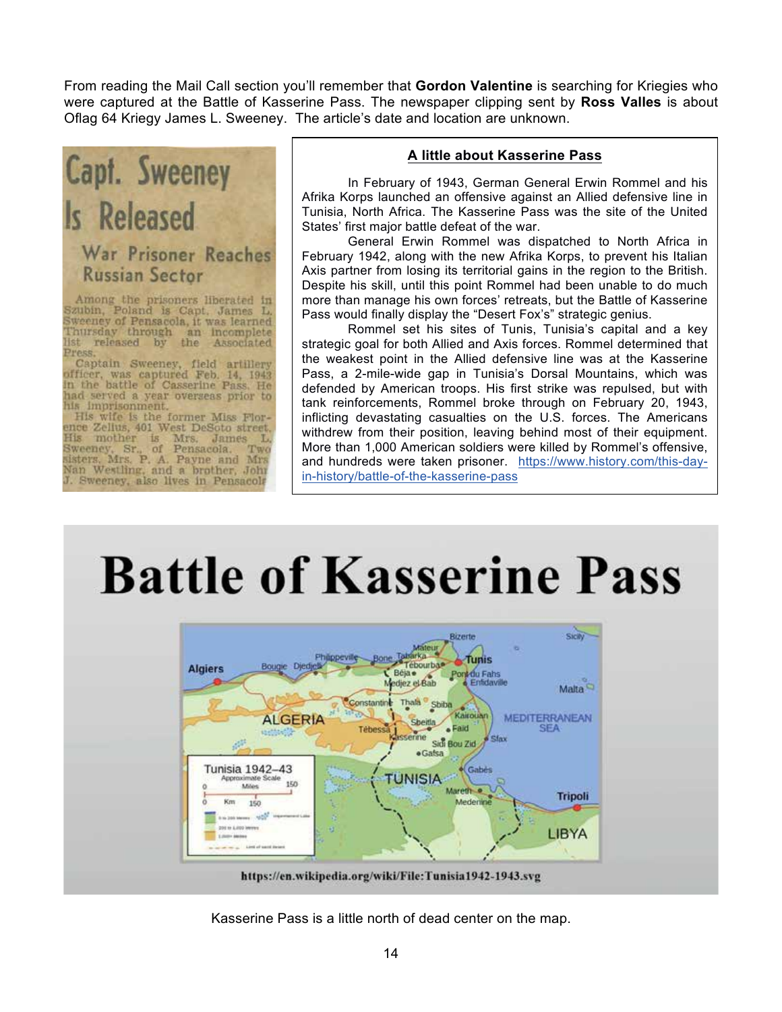From reading the Mail Call section you'll remember that **Gordon Valentine** is searching for Kriegies who were captured at the Battle of Kasserine Pass. The newspaper clipping sent by **Ross Valles** is about Oflag 64 Kriegy James L. Sweeney. The article's date and location are unknown.

# Capt. Sweeney Is Released War Prisoner Reaches **Russian Sector**

Among the prisoners liberated in<br>Szubin, Poland is Capt. James L.<br>Sweeney of Pensacola, it was learned Thursday through an incomplete<br>list released by the Associated Press.

Captain Sweeney, field artillery<br>officer, was captured Feb. 14, 1943<br>in the battle of Casserine Pass. He had served a year overseas prior to his imprisonment.

His wife is the former Miss Florence Zelius, 401 West DeSoto street. Fils mother is Mrs. James L.<br>Sweeney, Sr., of Pensacola. Two<br>sisters. Mrs. P. A. Payne and Mrs<br>Nan Westling, and a brother, John K. L. Two J. Sweeney, also lives in Pensacola

### **A little about Kasserine Pass**

In February of 1943, German General Erwin Rommel and his Afrika Korps launched an offensive against an Allied defensive line in Tunisia, North Africa. The Kasserine Pass was the site of the United States' first major battle defeat of the war.

General Erwin Rommel was dispatched to North Africa in February 1942, along with the new Afrika Korps, to prevent his Italian Axis partner from losing its territorial gains in the region to the British. Despite his skill, until this point Rommel had been unable to do much more than manage his own forces' retreats, but the Battle of Kasserine Pass would finally display the "Desert Fox's" strategic genius.

Rommel set his sites of Tunis, Tunisia's capital and a key strategic goal for both Allied and Axis forces. Rommel determined that the weakest point in the Allied defensive line was at the Kasserine Pass, a 2-mile-wide gap in Tunisia's Dorsal Mountains, which was defended by American troops. His first strike was repulsed, but with tank reinforcements, Rommel broke through on February 20, 1943, inflicting devastating casualties on the U.S. forces. The Americans withdrew from their position, leaving behind most of their equipment. More than 1,000 American soldiers were killed by Rommel's offensive, and hundreds were taken prisoner. https://www.history.com/this-dayin-history/battle-of-the-kasserine-pass

# **Battle of Kasserine Pass**



Kasserine Pass is a little north of dead center on the map.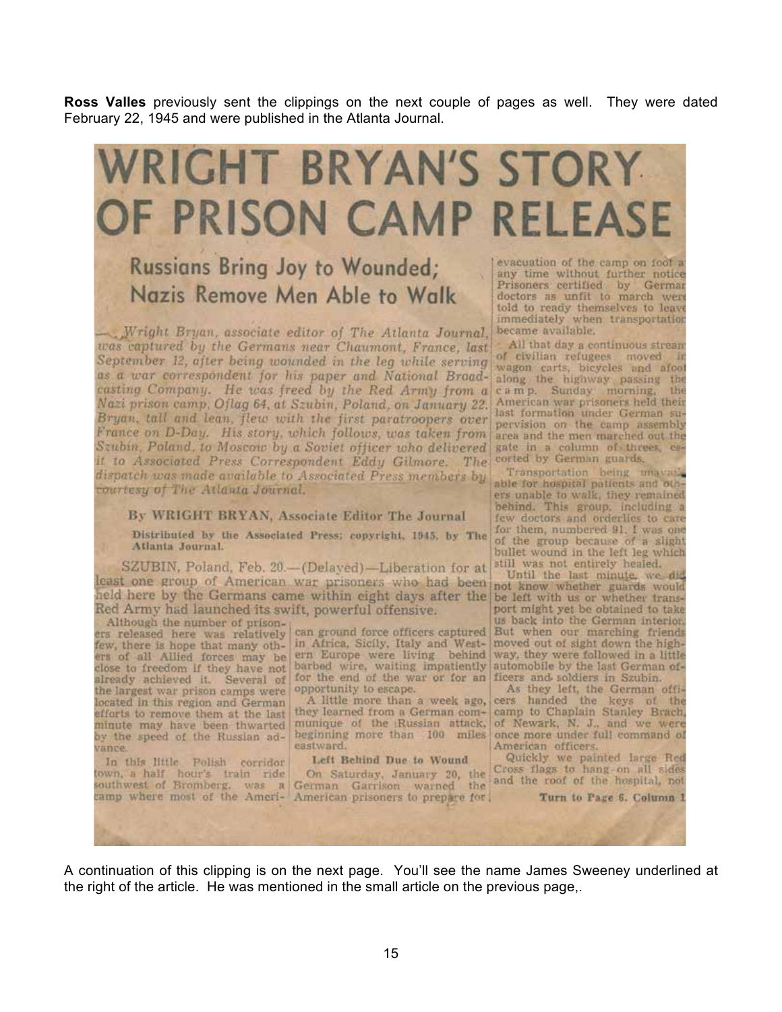**Ross Valles** previously sent the clippings on the next couple of pages as well. They were dated February 22, 1945 and were published in the Atlanta Journal.

# WRIGHT BRYAN'S STORY OF PRISON CAMP RELEASE

## Russians Bring Joy to Wounded; Nazis Remove Men Able to Walk

Wright Bryan, associate editor of The Atlanta Journal, was captured by the Germans near Chaumont, France, last September 12, after being wounded in the leg while serving as a war correspondent for his paper and National Broadcasting Company. He was freed by the Red Army from a Nazi prison camp, Oflag 64, at Szubin, Poland, on January 22. Bryan, tall and lean, flew with the first paratroopers over France on D-Day. His story, which follows, was taken from Szubin, Poland, to Moscow by a Soviet officer who delivered it to Associated Press Correspondent Eddy Gilmore. The corted by German guards. dispatch was made available to Associated Press members by courtesy of The Atlanta Journal.

By WRIGHT BRYAN, Associate Editor The Journal

Distributed by the Associated Press; copyright, 1945, by The Atlanta Journal.

SZUBIN, Poland, Feb. 20.-(Delayed)-Liberation for at least one group of American war prisoners who had been not know whether guards would held here by the Germans came within eight days after the be left with us or whether trans-Red Army had launched its swift, powerful offensive.

the largest war prison camps were opportunity to escape. located in this region and German efforts to remove them at the last minute may have been thwarted by the speed of the Russian advance.

In this little Polish corridor

ers of all Allied forces may be ern Europe were living behind way, they were followed in a little close to freedom if they have not barbed wire, waiting impatiently automobile by the last German ofclose to freedom if they have not barbed wire, waiting impatiently automobile by the last German<br>already achieved it. Several of for the end of the war or for an ficers and soldiers in Szubin.

A little more than a week ago, they learned from a German com- camp to Chaplain Stanley Brach, munique of the Russian attack, of Newark, N. J., and we were beginning more than 100 miles once more under full command of eastward.

Left Behind Due to Wound In this little Polish corridor Left Behind Due to Wound<br>town, a half hour's train ride On Saturday, January 20, the Cross flags to hang on all sides<br>southwest of Bromberg, was a German Garrison warned the and the roof of t camp where most of the Ameri- American prisoners to prepare for

evacuation of the camp on foot a any time without further notice Prisoners certified by German<br>doctors as unfit to march were told to ready themselves to leave immediately when transportation became available.

All that day a continuous stream of civilian refugees moved in wagon carts, bicycles and afoot along the highway passing the camp. Sunday morning, the American war prisoners held their last formation under German supervision on the camp assembly area and the men marched out the gate in a column of threes, es-

Transportation being unavailable for hospital patients and others unable to walk, they remained behind. This group, including a few doctors and orderlies to care for them, numbered 91. I was one of the group because of a slight bullet wound in the left leg which still was not entirely healed.

Until the last minute, we did port might yet be obtained to take us back into the German interior. Although the number of prison-<br>ers released here was relatively can ground force officers captured But when our marching friends<br>few, there is hope that many oth- in Africa, Sicily, Italy and West-<br>moved out of sight down

> As they left, the German officers handed the keys of the American officers.

Quickly we painted large Red

Turn to Page 6. Column 1

A continuation of this clipping is on the next page. You'll see the name James Sweeney underlined at the right of the article. He was mentioned in the small article on the previous page,.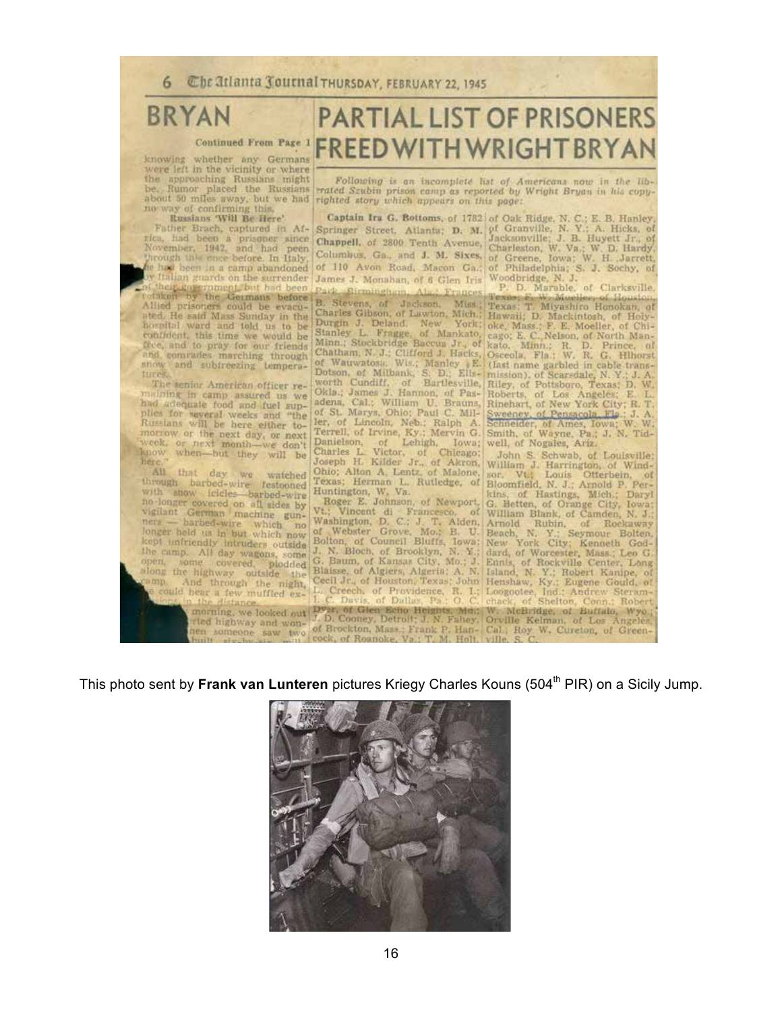## **BRYAN**

#### Continued From Page 1

knowing whether any Germans showing whether any Germany or where<br>the approaching Russians might<br>be. Rumor placed the Russians<br>about 50 miles away, but we had<br>no way of confirming this,

no way of confirming this,<br>
Russian SWH Be Here<br>
Russian SWH Be Here The Brack Ridge, N. C.; E. B. Hanley,<br>
Russian SWH Be Here Brack, captured in Af-<br>
Springer Street, Atlanta; D. M. of Granville, N. Y.; A. Hicks, of<br>
The snow and subtreezing temperatures.

The senior American officer remaining in camp assured us we<br>had adequate food and fuel sup-<br>plies for vaveral weeks and "the Russians will be here either tomorrow or the next day, or next week, or next month-we don't here.

All that day we watched<br>through barbed-wire restooned with show icicles barbed-wire with a<br>how icides barbed-wire to all index by<br>vigilant German machine gun-<br>herz — barbed-wire which no<br>longer held us in but which now<br>kept infriendly intruders outside<br>the camp. All day withing the camp. All day wagons, some<br>open, some covered, plodded<br>along the highway outside the<br>camp. And through the night,<br>could near a few muffled ex-

## **PARTIAL LIST OF PRISONERS** FREED WITH WRIGHT BRY AN

Following is an incomplete list of Americans now in the lib-rated Szubin prison camp as reported by Wright Bryan in his copyrighted story which appears on this page:

Charles Gibson, of Lawton, Mich.;<br>
Durgin J. Deland, New York;<br>
Stanley L. Fragge of Mankato,<br>
Minn; Stockbridge Baccus Jr., of<br>
Minni, Stockbridge Baccus Jr., of<br>
Chatham N. J.; Clifford J. Hicks,<br>
of Wauwatosis. Wis: Man

Useoua, Fla. W. R. W. Theorem<br>(Iast name garbled in cable trans-<br>mission), of Scarsdale, N. Y.; J. A.<br>Riley, of Pottsboro, Texas; D. W.<br>Roberts, of Los Angeles; E. L.<br>Rinehart, of New York City; R. T. Sweeney, of Pensacola, F19.: J. A.<br>Schneider, of Ames, Iowa; W. W.<br>Smith, of Wayne, Pa.: J. N. Tidwell, of Nogales, Ariz.

The text month-we don't Danielston, of Lehigh, Towa; well, of Nogales, Ariz.<br>
hen—but they will be Charles L. Victor, of Chicago, John S. Schwab, of Louisule.<br>
hen—but they will be Charles L. Victor, of Chicago, John S. S

This photo sent by Frank van Lunteren pictures Kriegy Charles Kouns (504<sup>th</sup> PIR) on a Sicily Jump.

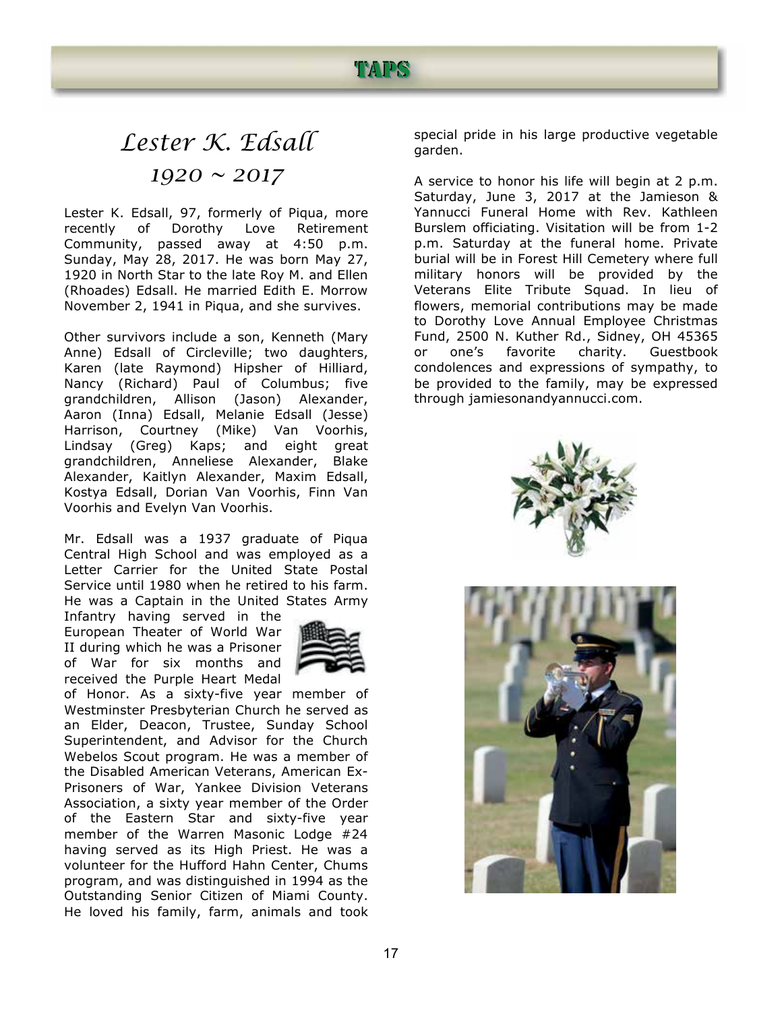### TADS

## *Lester K. Edsall 1920 ~ 2017*

Lester K. Edsall, 97, formerly of Piqua, more recently of Dorothy Love Retirement Community, passed away at 4:50 p.m. Sunday, May 28, 2017. He was born May 27, 1920 in North Star to the late Roy M. and Ellen (Rhoades) Edsall. He married Edith E. Morrow November 2, 1941 in Piqua, and she survives.

Other survivors include a son, Kenneth (Mary Anne) Edsall of Circleville; two daughters, Karen (late Raymond) Hipsher of Hilliard, Nancy (Richard) Paul of Columbus; five grandchildren, Allison (Jason) Alexander, Aaron (Inna) Edsall, Melanie Edsall (Jesse) Harrison, Courtney (Mike) Van Voorhis, Lindsay (Greg) Kaps; and eight great grandchildren, Anneliese Alexander, Blake Alexander, Kaitlyn Alexander, Maxim Edsall, Kostya Edsall, Dorian Van Voorhis, Finn Van Voorhis and Evelyn Van Voorhis.

Mr. Edsall was a 1937 graduate of Piqua Central High School and was employed as a Letter Carrier for the United State Postal Service until 1980 when he retired to his farm. He was a Captain in the United States Army

Infantry having served in the European Theater of World War II during which he was a Prisoner of War for six months and received the Purple Heart Medal



of Honor. As a sixty-five year member of Westminster Presbyterian Church he served as an Elder, Deacon, Trustee, Sunday School Superintendent, and Advisor for the Church Webelos Scout program. He was a member of the Disabled American Veterans, American Ex-Prisoners of War, Yankee Division Veterans Association, a sixty year member of the Order of the Eastern Star and sixty-five year member of the Warren Masonic Lodge #24 having served as its High Priest. He was a volunteer for the Hufford Hahn Center, Chums program, and was distinguished in 1994 as the Outstanding Senior Citizen of Miami County. He loved his family, farm, animals and took

special pride in his large productive vegetable garden.

A service to honor his life will begin at 2 p.m. Saturday, June 3, 2017 at the Jamieson & Yannucci Funeral Home with Rev. Kathleen Burslem officiating. Visitation will be from 1-2 p.m. Saturday at the funeral home. Private burial will be in Forest Hill Cemetery where full military honors will be provided by the Veterans Elite Tribute Squad. In lieu of flowers, memorial contributions may be made to Dorothy Love Annual Employee Christmas Fund, 2500 N. Kuther Rd., Sidney, OH 45365 or one's favorite charity. Guestbook condolences and expressions of sympathy, to be provided to the family, may be expressed through jamiesonandyannucci.com.



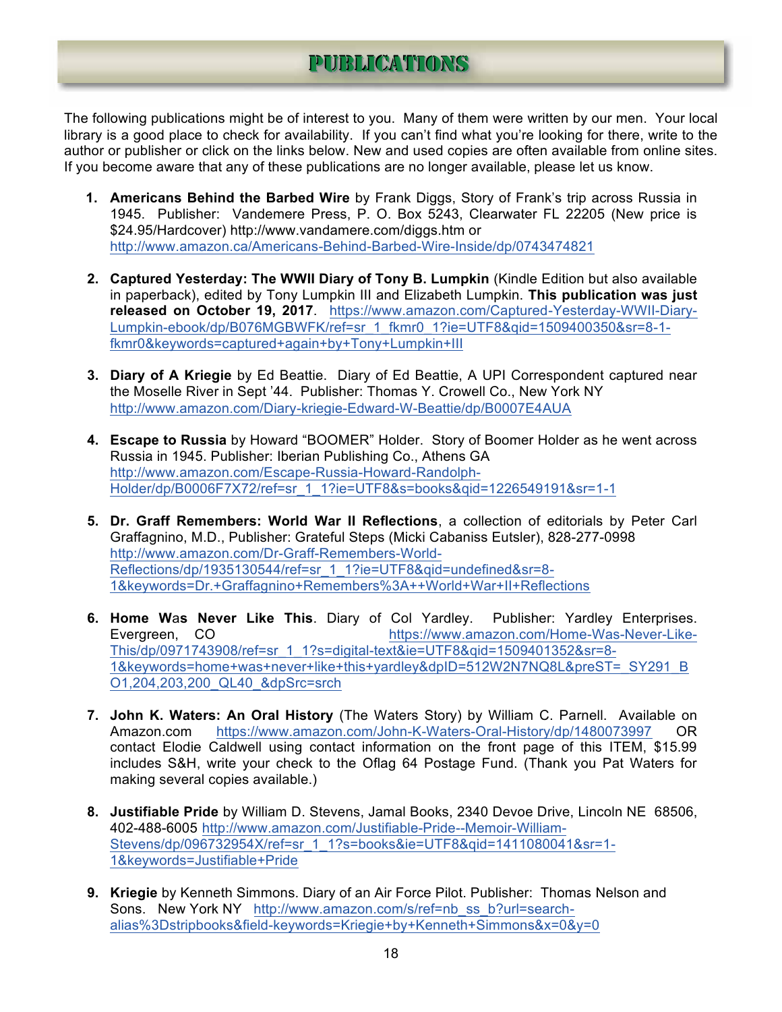## PUIBLICATIONS

The following publications might be of interest to you. Many of them were written by our men. Your local library is a good place to check for availability. If you can't find what you're looking for there, write to the author or publisher or click on the links below. New and used copies are often available from online sites. If you become aware that any of these publications are no longer available, please let us know.

- **1. Americans Behind the Barbed Wire** by Frank Diggs, Story of Frank's trip across Russia in 1945. Publisher: Vandemere Press, P. O. Box 5243, Clearwater FL 22205 (New price is \$24.95/Hardcover) http://www.vandamere.com/diggs.htm or http://www.amazon.ca/Americans-Behind-Barbed-Wire-Inside/dp/0743474821
- **2. Captured Yesterday: The WWII Diary of Tony B. Lumpkin** (Kindle Edition but also available in paperback), edited by Tony Lumpkin III and Elizabeth Lumpkin. **This publication was just released on October 19, 2017**. https://www.amazon.com/Captured-Yesterday-WWII-Diary-Lumpkin-ebook/dp/B076MGBWFK/ref=sr\_1\_fkmr0\_1?ie=UTF8&qid=1509400350&sr=8-1fkmr0&keywords=captured+again+by+Tony+Lumpkin+III
- **3. Diary of A Kriegie** by Ed Beattie. Diary of Ed Beattie, A UPI Correspondent captured near the Moselle River in Sept '44.Publisher: Thomas Y. Crowell Co., New York NY http://www.amazon.com/Diary-kriegie-Edward-W-Beattie/dp/B0007E4AUA
- **4. Escape to Russia** by Howard "BOOMER" Holder. Story of Boomer Holder as he went across Russia in 1945. Publisher: Iberian Publishing Co., Athens GA http://www.amazon.com/Escape-Russia-Howard-Randolph-Holder/dp/B0006F7X72/ref=sr\_1\_1?ie=UTF8&s=books&qid=1226549191&sr=1-1
- **5. Dr. Graff Remembers: World War II Reflections**, a collection of editorials by Peter Carl Graffagnino, M.D., Publisher: Grateful Steps (Micki Cabaniss Eutsler), 828-277-0998 http://www.amazon.com/Dr-Graff-Remembers-World-Reflections/dp/1935130544/ref=sr\_1\_1?ie=UTF8&gid=undefined&sr=8-1&keywords=Dr.+Graffagnino+Remembers%3A++World+War+II+Reflections
- **6. Home W**a**s Never Like This**. Diary of Col Yardley. Publisher: Yardley Enterprises. Evergreen, CO https://www.amazon.com/Home-Was-Never-Like-This/dp/0971743908/ref=sr\_1\_1?s=digital-text&ie=UTF8&qid=1509401352&sr=8- 1&keywords=home+was+never+like+this+yardley&dpID=512W2N7NQ8L&preST=\_SY291\_B O1,204,203,200\_QL40\_&dpSrc=srch
- **7. John K. Waters: An Oral History** (The Waters Story) by William C. Parnell. Available on Amazon.com https://www.amazon.com/John-K-Waters-Oral-History/dp/1480073997 OR contact Elodie Caldwell using contact information on the front page of this ITEM, \$15.99 includes S&H, write your check to the Oflag 64 Postage Fund. (Thank you Pat Waters for making several copies available.)
- **8. Justifiable Pride** by William D. Stevens, Jamal Books, 2340 Devoe Drive, Lincoln NE 68506, 402-488-6005 http://www.amazon.com/Justifiable-Pride--Memoir-William-Stevens/dp/096732954X/ref=sr\_1\_1?s=books&ie=UTF8&qid=1411080041&sr=1- 1&keywords=Justifiable+Pride
- **9. Kriegie** by Kenneth Simmons. Diary of an Air Force Pilot. Publisher: Thomas Nelson and Sons. New York NY http://www.amazon.com/s/ref=nb\_ss\_b?url=searchalias%3Dstripbooks&field-keywords=Kriegie+by+Kenneth+Simmons&x=0&y=0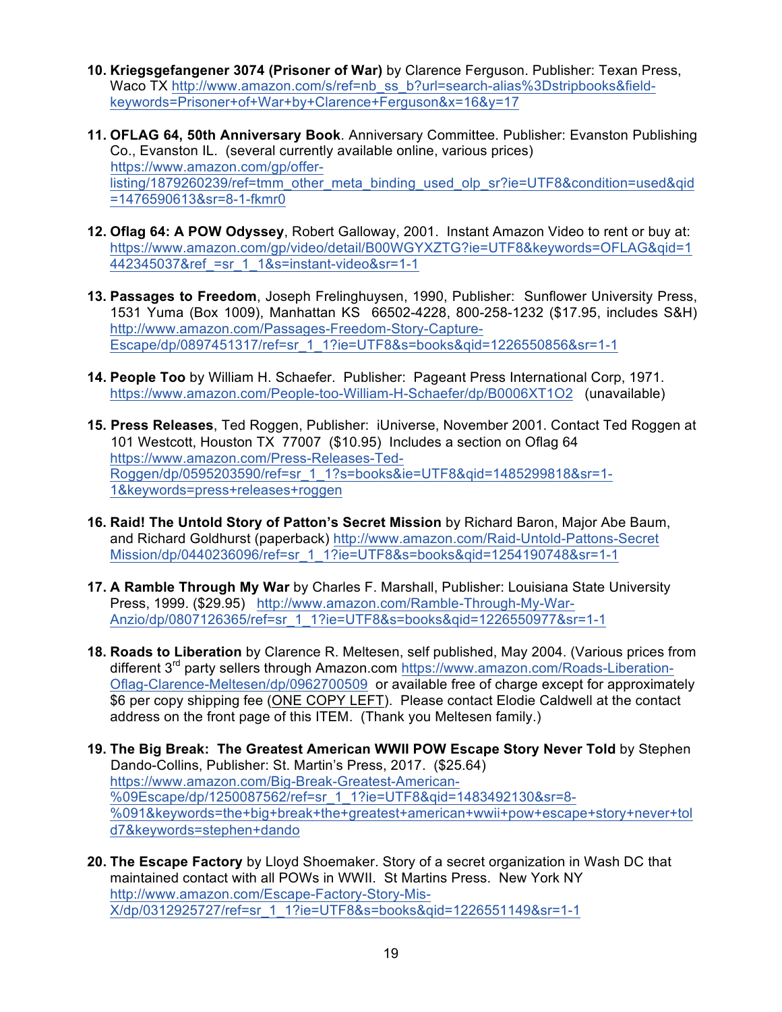- **10. Kriegsgefangener 3074 (Prisoner of War)** by Clarence Ferguson. Publisher: Texan Press, Waco TX http://www.amazon.com/s/ref=nb\_ss\_b?url=search-alias%3Dstripbooks&fieldkeywords=Prisoner+of+War+by+Clarence+Ferguson&x=16&y=17
- **11. OFLAG 64, 50th Anniversary Book**. Anniversary Committee. Publisher: Evanston Publishing Co., Evanston IL. (several currently available online, various prices) https://www.amazon.com/gp/offerlisting/1879260239/ref=tmm\_other\_meta\_binding\_used\_olp\_sr?ie=UTF8&condition=used&qid =1476590613&sr=8-1-fkmr0
- **12. Oflag 64: A POW Odyssey**, Robert Galloway, 2001. Instant Amazon Video to rent or buy at: https://www.amazon.com/gp/video/detail/B00WGYXZTG?ie=UTF8&keywords=OFLAG&qid=1 442345037&ref\_=sr\_1\_1&s=instant-video&sr=1-1
- **13. Passages to Freedom**, Joseph Frelinghuysen, 1990, Publisher: Sunflower University Press, 1531 Yuma (Box 1009), Manhattan KS 66502-4228, 800-258-1232 (\$17.95, includes S&H) http://www.amazon.com/Passages-Freedom-Story-Capture-Escape/dp/0897451317/ref=sr\_1\_1?ie=UTF8&s=books&qid=1226550856&sr=1-1
- **14. People Too** by William H. Schaefer. Publisher: Pageant Press International Corp, 1971. https://www.amazon.com/People-too-William-H-Schaefer/dp/B0006XT1O2 (unavailable)
- **15. Press Releases**, Ted Roggen, Publisher: iUniverse, November 2001. Contact Ted Roggen at 101 Westcott, Houston TX 77007 (\$10.95) Includes a section on Oflag 64 https://www.amazon.com/Press-Releases-Ted-Roggen/dp/0595203590/ref=sr\_1\_1?s=books&ie=UTF8&qid=1485299818&sr=1- 1&keywords=press+releases+roggen
- **16. Raid! The Untold Story of Patton's Secret Mission** by Richard Baron, Major Abe Baum, and Richard Goldhurst (paperback) http://www.amazon.com/Raid-Untold-Pattons-Secret Mission/dp/0440236096/ref=sr\_1\_1?ie=UTF8&s=books&qid=1254190748&sr=1-1
- **17. A Ramble Through My War** by Charles F. Marshall, Publisher: Louisiana State University Press, 1999. (\$29.95) http://www.amazon.com/Ramble-Through-My-War-Anzio/dp/0807126365/ref=sr\_1\_1?ie=UTF8&s=books&qid=1226550977&sr=1-1
- **18. Roads to Liberation** by Clarence R. Meltesen, self published, May 2004. (Various prices from different 3<sup>rd</sup> party sellers through Amazon.com https://www.amazon.com/Roads-Liberation-Oflag-Clarence-Meltesen/dp/0962700509 or available free of charge except for approximately \$6 per copy shipping fee (ONE COPY LEFT). Please contact Elodie Caldwell at the contact address on the front page of this ITEM. (Thank you Meltesen family.)
- **19. The Big Break: The Greatest American WWII POW Escape Story Never Told** by Stephen Dando-Collins, Publisher: St. Martin's Press, 2017. (\$25.64) https://www.amazon.com/Big-Break-Greatest-American- %09Escape/dp/1250087562/ref=sr\_1\_1?ie=UTF8&qid=1483492130&sr=8-%091&keywords=the+big+break+the+greatest+american+wwii+pow+escape+story+never+tol d7&keywords=stephen+dando
- **20. The Escape Factory** by Lloyd Shoemaker. Story of a secret organization in Wash DC that maintained contact with all POWs in WWII. St Martins Press. New York NY http://www.amazon.com/Escape-Factory-Story-Mis-X/dp/0312925727/ref=sr\_1\_1?ie=UTF8&s=books&qid=1226551149&sr=1-1